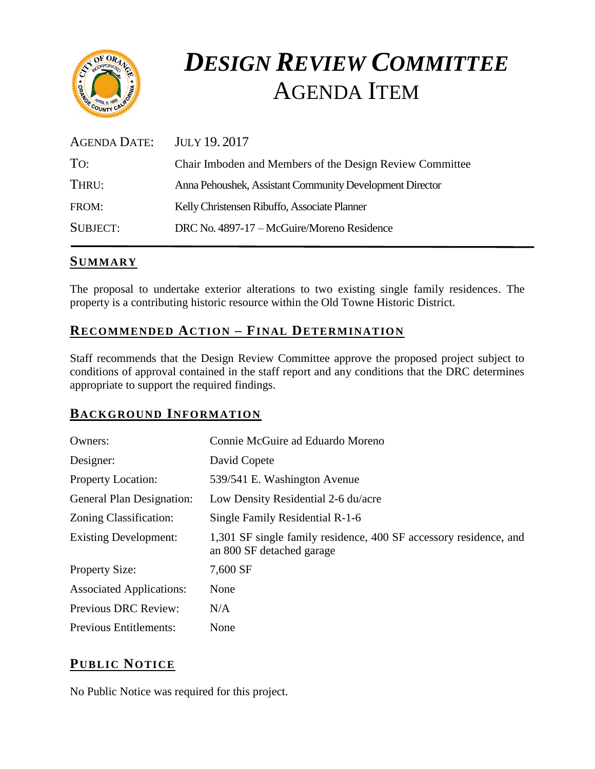

# *DESIGN REVIEW COMMITTEE*  AGENDA ITEM

| <b>AGENDA DATE:</b> | JULY 19.2017                                             |
|---------------------|----------------------------------------------------------|
| TO:                 | Chair Imboden and Members of the Design Review Committee |
| THRU:               | Anna Pehoushek, Assistant Community Development Director |
| FROM:               | Kelly Christensen Ribuffo, Associate Planner             |
| SUBJECT:            | DRC No. 4897-17 – McGuire/Moreno Residence               |
|                     |                                                          |

## **SUMMARY**

The proposal to undertake exterior alterations to two existing single family residences. The property is a contributing historic resource within the Old Towne Historic District.

# **RECOMMENDED ACTION – FINAL DETERMINATION**

Staff recommends that the Design Review Committee approve the proposed project subject to conditions of approval contained in the staff report and any conditions that the DRC determines appropriate to support the required findings.

## **BACKGROUND INFORMATION**

| Owners:                         | Connie McGuire ad Eduardo Moreno                                                               |
|---------------------------------|------------------------------------------------------------------------------------------------|
| Designer:                       | David Copete                                                                                   |
| <b>Property Location:</b>       | 539/541 E. Washington Avenue                                                                   |
| General Plan Designation:       | Low Density Residential 2-6 du/acre                                                            |
| Zoning Classification:          | Single Family Residential R-1-6                                                                |
| <b>Existing Development:</b>    | 1,301 SF single family residence, 400 SF accessory residence, and<br>an 800 SF detached garage |
| <b>Property Size:</b>           | 7,600 SF                                                                                       |
| <b>Associated Applications:</b> | None                                                                                           |
| Previous DRC Review:            | N/A                                                                                            |
| <b>Previous Entitlements:</b>   | None                                                                                           |

# **PUB LIC NOTICE**

No Public Notice was required for this project.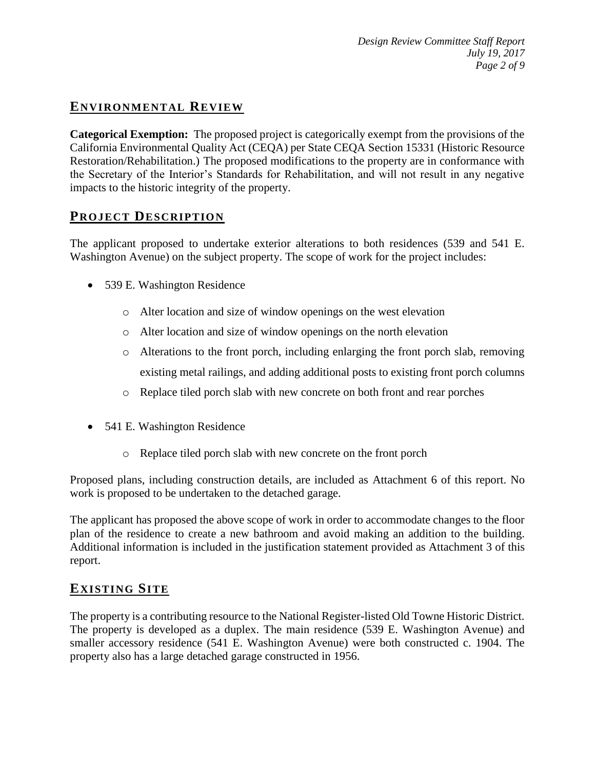# **ENVIRONMENTAL REVIEW**

**Categorical Exemption:** The proposed project is categorically exempt from the provisions of the California Environmental Quality Act (CEQA) per State CEQA Section 15331 (Historic Resource Restoration/Rehabilitation.) The proposed modifications to the property are in conformance with the Secretary of the Interior's Standards for Rehabilitation, and will not result in any negative impacts to the historic integrity of the property.

#### **PROJECT DESCRIP TION**

The applicant proposed to undertake exterior alterations to both residences (539 and 541 E. Washington Avenue) on the subject property. The scope of work for the project includes:

- 539 E. Washington Residence
	- o Alter location and size of window openings on the west elevation
	- o Alter location and size of window openings on the north elevation
	- o Alterations to the front porch, including enlarging the front porch slab, removing existing metal railings, and adding additional posts to existing front porch columns
	- o Replace tiled porch slab with new concrete on both front and rear porches
- 541 E. Washington Residence
	- o Replace tiled porch slab with new concrete on the front porch

Proposed plans, including construction details, are included as Attachment 6 of this report. No work is proposed to be undertaken to the detached garage.

The applicant has proposed the above scope of work in order to accommodate changes to the floor plan of the residence to create a new bathroom and avoid making an addition to the building. Additional information is included in the justification statement provided as Attachment 3 of this report.

## **EXISTING SITE**

The property is a contributing resource to the National Register-listed Old Towne Historic District. The property is developed as a duplex. The main residence (539 E. Washington Avenue) and smaller accessory residence (541 E. Washington Avenue) were both constructed c. 1904. The property also has a large detached garage constructed in 1956.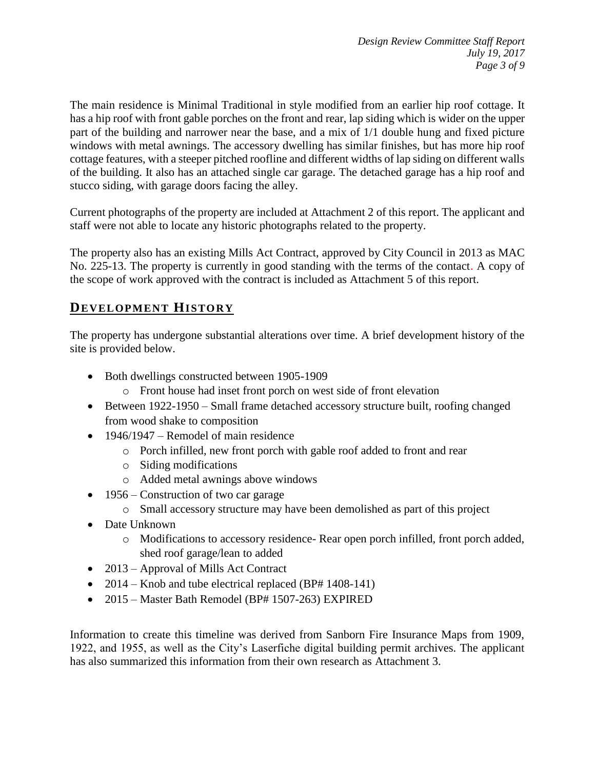The main residence is Minimal Traditional in style modified from an earlier hip roof cottage. It has a hip roof with front gable porches on the front and rear, lap siding which is wider on the upper part of the building and narrower near the base, and a mix of 1/1 double hung and fixed picture windows with metal awnings. The accessory dwelling has similar finishes, but has more hip roof cottage features, with a steeper pitched roofline and different widths of lap siding on different walls of the building. It also has an attached single car garage. The detached garage has a hip roof and stucco siding, with garage doors facing the alley.

Current photographs of the property are included at Attachment 2 of this report. The applicant and staff were not able to locate any historic photographs related to the property.

The property also has an existing Mills Act Contract, approved by City Council in 2013 as MAC No. 225-13. The property is currently in good standing with the terms of the contact. A copy of the scope of work approved with the contract is included as Attachment 5 of this report.

# **DEVELOPMENT HISTORY**

The property has undergone substantial alterations over time. A brief development history of the site is provided below.

- Both dwellings constructed between 1905-1909
	- o Front house had inset front porch on west side of front elevation
- Between 1922-1950 Small frame detached accessory structure built, roofing changed from wood shake to composition
- $\bullet$  1946/1947 Remodel of main residence
	- o Porch infilled, new front porch with gable roof added to front and rear
	- o Siding modifications
	- o Added metal awnings above windows
- 1956 Construction of two car garage
	- o Small accessory structure may have been demolished as part of this project
- Date Unknown
	- o Modifications to accessory residence- Rear open porch infilled, front porch added, shed roof garage/lean to added
- 2013 Approval of Mills Act Contract
- 2014 Knob and tube electrical replaced (BP# 1408-141)
- 2015 Master Bath Remodel (BP# 1507-263) EXPIRED

Information to create this timeline was derived from Sanborn Fire Insurance Maps from 1909, 1922, and 1955, as well as the City's Laserfiche digital building permit archives. The applicant has also summarized this information from their own research as Attachment 3.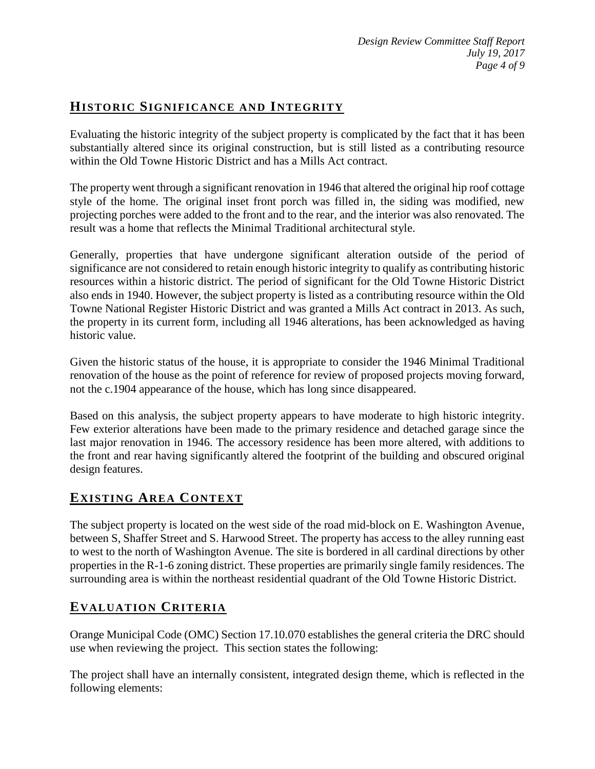# **HISTORIC SIGNIFICANCE AND INTEGRITY**

Evaluating the historic integrity of the subject property is complicated by the fact that it has been substantially altered since its original construction, but is still listed as a contributing resource within the Old Towne Historic District and has a Mills Act contract.

The property went through a significant renovation in 1946 that altered the original hip roof cottage style of the home. The original inset front porch was filled in, the siding was modified, new projecting porches were added to the front and to the rear, and the interior was also renovated. The result was a home that reflects the Minimal Traditional architectural style.

Generally, properties that have undergone significant alteration outside of the period of significance are not considered to retain enough historic integrity to qualify as contributing historic resources within a historic district. The period of significant for the Old Towne Historic District also ends in 1940. However, the subject property is listed as a contributing resource within the Old Towne National Register Historic District and was granted a Mills Act contract in 2013. As such, the property in its current form, including all 1946 alterations, has been acknowledged as having historic value.

Given the historic status of the house, it is appropriate to consider the 1946 Minimal Traditional renovation of the house as the point of reference for review of proposed projects moving forward, not the c.1904 appearance of the house, which has long since disappeared.

Based on this analysis, the subject property appears to have moderate to high historic integrity. Few exterior alterations have been made to the primary residence and detached garage since the last major renovation in 1946. The accessory residence has been more altered, with additions to the front and rear having significantly altered the footprint of the building and obscured original design features.

## **EXISTING AREA CONTEXT**

The subject property is located on the west side of the road mid-block on E. Washington Avenue, between S, Shaffer Street and S. Harwood Street. The property has access to the alley running east to west to the north of Washington Avenue. The site is bordered in all cardinal directions by other properties in the R-1-6 zoning district. These properties are primarily single family residences. The surrounding area is within the northeast residential quadrant of the Old Towne Historic District.

## **EVALUATION CRITERIA**

Orange Municipal Code (OMC) Section 17.10.070 establishes the general criteria the DRC should use when reviewing the project. This section states the following:

The project shall have an internally consistent, integrated design theme, which is reflected in the following elements: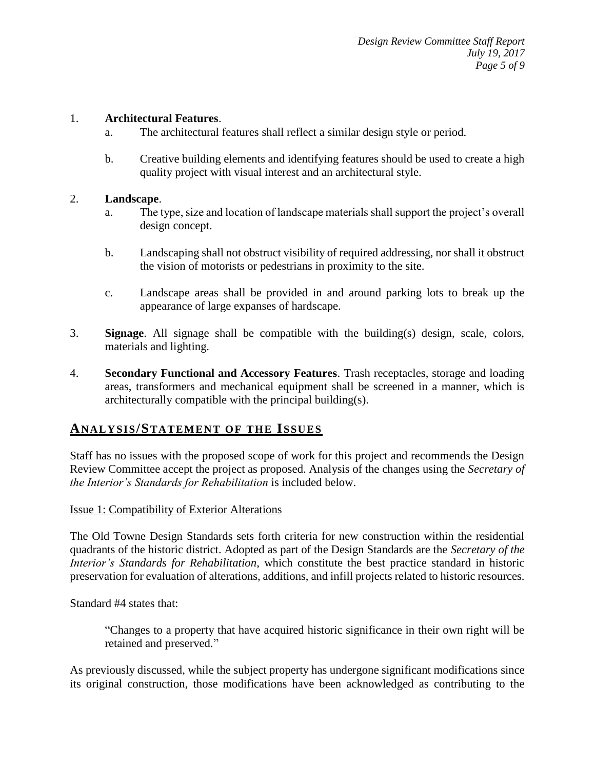#### 1. **Architectural Features**.

- a. The architectural features shall reflect a similar design style or period.
- b. Creative building elements and identifying features should be used to create a high quality project with visual interest and an architectural style.

#### 2. **Landscape**.

- a. The type, size and location of landscape materials shall support the project's overall design concept.
- b. Landscaping shall not obstruct visibility of required addressing, nor shall it obstruct the vision of motorists or pedestrians in proximity to the site.
- c. Landscape areas shall be provided in and around parking lots to break up the appearance of large expanses of hardscape.
- 3. **Signage**. All signage shall be compatible with the building(s) design, scale, colors, materials and lighting.
- 4. **Secondary Functional and Accessory Features**. Trash receptacles, storage and loading areas, transformers and mechanical equipment shall be screened in a manner, which is architecturally compatible with the principal building(s).

#### **ANALY SIS/STATEMENT OF THE ISSUES**

Staff has no issues with the proposed scope of work for this project and recommends the Design Review Committee accept the project as proposed. Analysis of the changes using the *Secretary of the Interior's Standards for Rehabilitation* is included below.

#### Issue 1: Compatibility of Exterior Alterations

The Old Towne Design Standards sets forth criteria for new construction within the residential quadrants of the historic district. Adopted as part of the Design Standards are the *Secretary of the Interior's Standards for Rehabilitation*, which constitute the best practice standard in historic preservation for evaluation of alterations, additions, and infill projects related to historic resources.

Standard #4 states that:

"Changes to a property that have acquired historic significance in their own right will be retained and preserved."

As previously discussed, while the subject property has undergone significant modifications since its original construction, those modifications have been acknowledged as contributing to the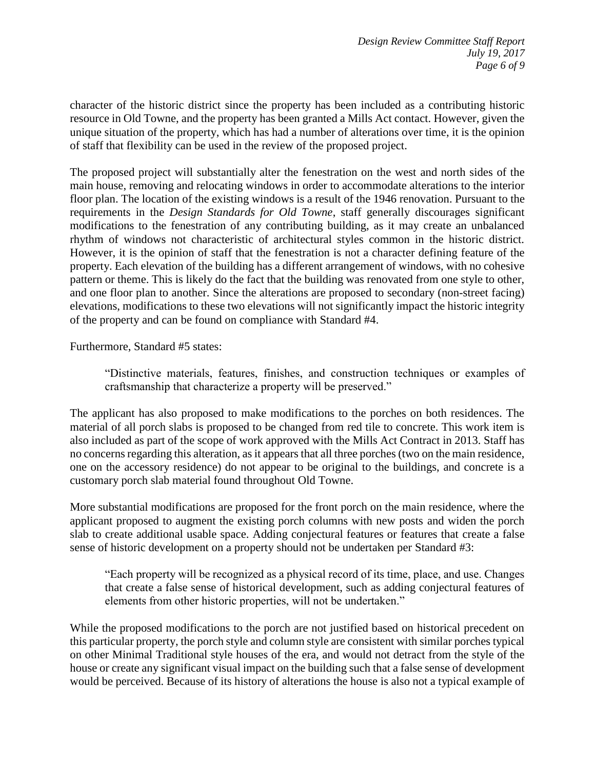character of the historic district since the property has been included as a contributing historic resource in Old Towne, and the property has been granted a Mills Act contact. However, given the unique situation of the property, which has had a number of alterations over time, it is the opinion of staff that flexibility can be used in the review of the proposed project.

The proposed project will substantially alter the fenestration on the west and north sides of the main house, removing and relocating windows in order to accommodate alterations to the interior floor plan. The location of the existing windows is a result of the 1946 renovation. Pursuant to the requirements in the *Design Standards for Old Towne*, staff generally discourages significant modifications to the fenestration of any contributing building, as it may create an unbalanced rhythm of windows not characteristic of architectural styles common in the historic district. However, it is the opinion of staff that the fenestration is not a character defining feature of the property. Each elevation of the building has a different arrangement of windows, with no cohesive pattern or theme. This is likely do the fact that the building was renovated from one style to other, and one floor plan to another. Since the alterations are proposed to secondary (non-street facing) elevations, modifications to these two elevations will not significantly impact the historic integrity of the property and can be found on compliance with Standard #4.

Furthermore, Standard #5 states:

"Distinctive materials, features, finishes, and construction techniques or examples of craftsmanship that characterize a property will be preserved."

The applicant has also proposed to make modifications to the porches on both residences. The material of all porch slabs is proposed to be changed from red tile to concrete. This work item is also included as part of the scope of work approved with the Mills Act Contract in 2013. Staff has no concerns regarding this alteration, as it appears that all three porches (two on the main residence, one on the accessory residence) do not appear to be original to the buildings, and concrete is a customary porch slab material found throughout Old Towne.

More substantial modifications are proposed for the front porch on the main residence, where the applicant proposed to augment the existing porch columns with new posts and widen the porch slab to create additional usable space. Adding conjectural features or features that create a false sense of historic development on a property should not be undertaken per Standard #3:

"Each property will be recognized as a physical record of its time, place, and use. Changes that create a false sense of historical development, such as adding conjectural features of elements from other historic properties, will not be undertaken."

While the proposed modifications to the porch are not justified based on historical precedent on this particular property, the porch style and column style are consistent with similar porches typical on other Minimal Traditional style houses of the era, and would not detract from the style of the house or create any significant visual impact on the building such that a false sense of development would be perceived. Because of its history of alterations the house is also not a typical example of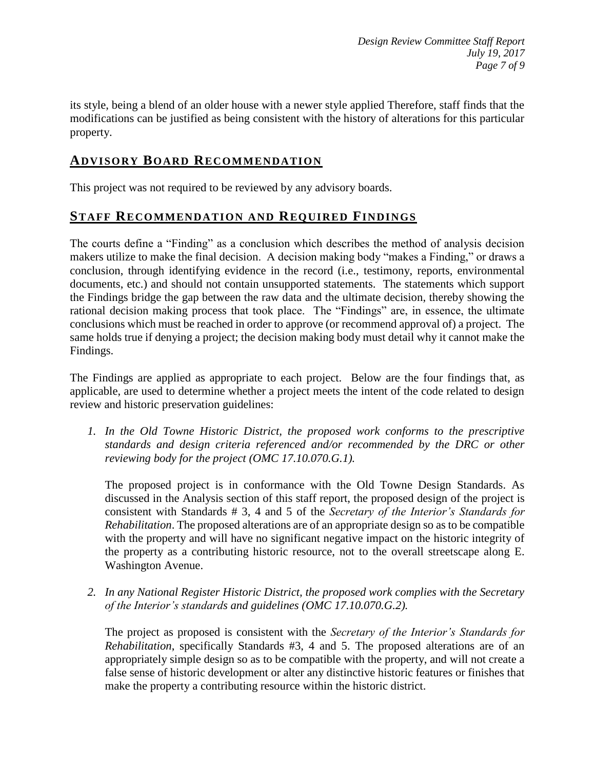its style, being a blend of an older house with a newer style applied Therefore, staff finds that the modifications can be justified as being consistent with the history of alterations for this particular property.

## **ADVISORY BOARD RECOMMENDATION**

This project was not required to be reviewed by any advisory boards.

## **STAFF RECOMMENDATION AND REQUIRED FINDINGS**

The courts define a "Finding" as a conclusion which describes the method of analysis decision makers utilize to make the final decision. A decision making body "makes a Finding," or draws a conclusion, through identifying evidence in the record (i.e., testimony, reports, environmental documents, etc.) and should not contain unsupported statements. The statements which support the Findings bridge the gap between the raw data and the ultimate decision, thereby showing the rational decision making process that took place. The "Findings" are, in essence, the ultimate conclusions which must be reached in order to approve (or recommend approval of) a project. The same holds true if denying a project; the decision making body must detail why it cannot make the Findings.

The Findings are applied as appropriate to each project.Below are the four findings that, as applicable, are used to determine whether a project meets the intent of the code related to design review and historic preservation guidelines:

*1. In the Old Towne Historic District, the proposed work conforms to the prescriptive standards and design criteria referenced and/or recommended by the DRC or other reviewing body for the project (OMC 17.10.070.G.1).*

The proposed project is in conformance with the Old Towne Design Standards. As discussed in the Analysis section of this staff report, the proposed design of the project is consistent with Standards # 3, 4 and 5 of the *Secretary of the Interior's Standards for Rehabilitation*. The proposed alterations are of an appropriate design so as to be compatible with the property and will have no significant negative impact on the historic integrity of the property as a contributing historic resource, not to the overall streetscape along E. Washington Avenue.

*2. In any National Register Historic District, the proposed work complies with the Secretary of the Interior's standards and guidelines (OMC 17.10.070.G.2).*

The project as proposed is consistent with the *Secretary of the Interior's Standards for Rehabilitation*, specifically Standards #3, 4 and 5. The proposed alterations are of an appropriately simple design so as to be compatible with the property, and will not create a false sense of historic development or alter any distinctive historic features or finishes that make the property a contributing resource within the historic district.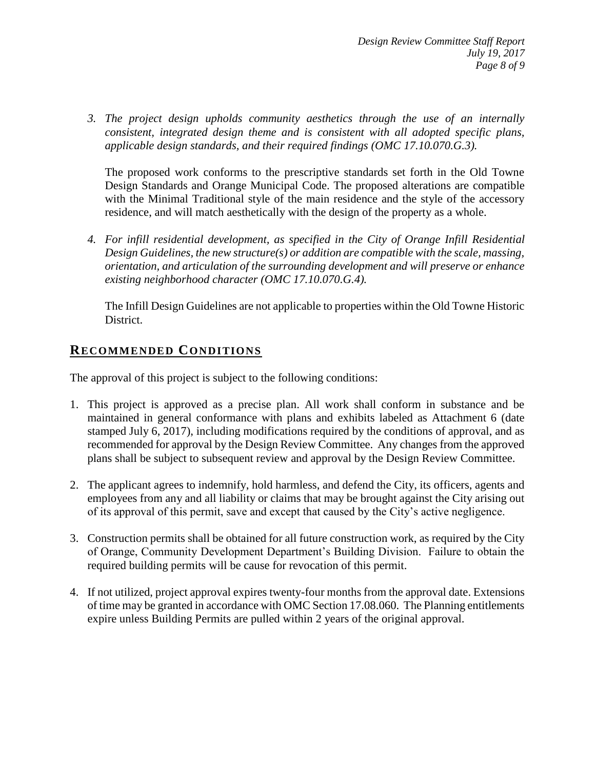*3. The project design upholds community aesthetics through the use of an internally consistent, integrated design theme and is consistent with all adopted specific plans, applicable design standards, and their required findings (OMC 17.10.070.G.3).*

The proposed work conforms to the prescriptive standards set forth in the Old Towne Design Standards and Orange Municipal Code. The proposed alterations are compatible with the Minimal Traditional style of the main residence and the style of the accessory residence, and will match aesthetically with the design of the property as a whole.

*4. For infill residential development, as specified in the City of Orange Infill Residential Design Guidelines, the new structure(s) or addition are compatible with the scale, massing, orientation, and articulation of the surrounding development and will preserve or enhance existing neighborhood character (OMC 17.10.070.G.4).*

The Infill Design Guidelines are not applicable to properties within the Old Towne Historic District.

#### **RECOMMENDED CONDITIONS**

The approval of this project is subject to the following conditions:

- 1. This project is approved as a precise plan. All work shall conform in substance and be maintained in general conformance with plans and exhibits labeled as Attachment 6 (date stamped July 6, 2017), including modifications required by the conditions of approval, and as recommended for approval by the Design Review Committee. Any changes from the approved plans shall be subject to subsequent review and approval by the Design Review Committee.
- 2. The applicant agrees to indemnify, hold harmless, and defend the City, its officers, agents and employees from any and all liability or claims that may be brought against the City arising out of its approval of this permit, save and except that caused by the City's active negligence.
- 3. Construction permits shall be obtained for all future construction work, as required by the City of Orange, Community Development Department's Building Division. Failure to obtain the required building permits will be cause for revocation of this permit.
- 4. If not utilized, project approval expires twenty-four months from the approval date. Extensions of time may be granted in accordance with OMC Section 17.08.060. The Planning entitlements expire unless Building Permits are pulled within 2 years of the original approval.